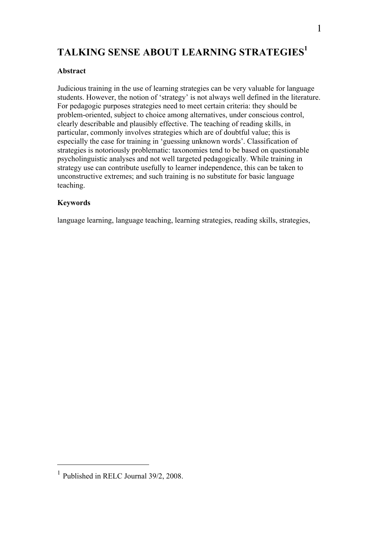# **TALKING SENSE ABOUT LEARNING STRATEGIES<sup>1</sup>**

## **Abstract**

Judicious training in the use of learning strategies can be very valuable for language students. However, the notion of 'strategy' is not always well defined in the literature. For pedagogic purposes strategies need to meet certain criteria: they should be problem-oriented, subject to choice among alternatives, under conscious control, clearly describable and plausibly effective. The teaching of reading skills, in particular, commonly involves strategies which are of doubtful value; this is especially the case for training in 'guessing unknown words'. Classification of strategies is notoriously problematic: taxonomies tend to be based on questionable psycholinguistic analyses and not well targeted pedagogically. While training in strategy use can contribute usefully to learner independence, this can be taken to unconstructive extremes; and such training is no substitute for basic language teaching.

# **Keywords**

language learning, language teaching, learning strategies, reading skills, strategies,

<sup>1</sup> Published in RELC Journal 39/2, 2008.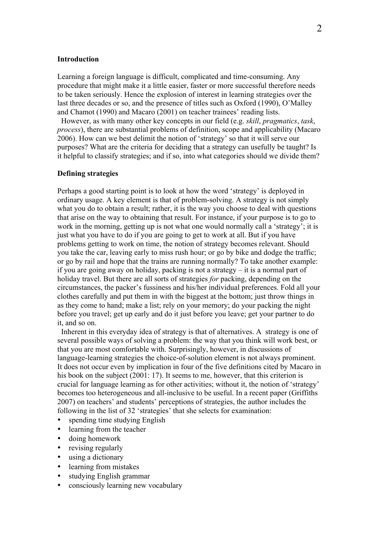## **Introduction**

Learning a foreign language is difficult, complicated and time-consuming. Any procedure that might make it a little easier, faster or more successful therefore needs to be taken seriously. Hence the explosion of interest in learning strategies over the last three decades or so, and the presence of titles such as Oxford (1990), O'Malley and Chamot (1990) and Macaro (2001) on teacher trainees' reading lists.

 However, as with many other key concepts in our field (e.g. *skill*, *pragmatics*, *task*, *process*), there are substantial problems of definition, scope and applicability (Macaro 2006). How can we best delimit the notion of 'strategy' so that it will serve our purposes? What are the criteria for deciding that a strategy can usefully be taught? Is it helpful to classify strategies; and if so, into what categories should we divide them?

### **Defining strategies**

Perhaps a good starting point is to look at how the word 'strategy' is deployed in ordinary usage. A key element is that of problem-solving. A strategy is not simply what you do to obtain a result; rather, it is the way you choose to deal with questions that arise on the way to obtaining that result. For instance, if your purpose is to go to work in the morning, getting up is not what one would normally call a 'strategy'; it is just what you have to do if you are going to get to work at all. But if you have problems getting to work on time, the notion of strategy becomes relevant. Should you take the car, leaving early to miss rush hour; or go by bike and dodge the traffic; or go by rail and hope that the trains are running normally? To take another example: if you are going away on holiday, packing is not a strategy – it is a normal part of holiday travel. But there are all sorts of strategies *for* packing, depending on the circumstances, the packer's fussiness and his/her individual preferences. Fold all your clothes carefully and put them in with the biggest at the bottom; just throw things in as they come to hand; make a list; rely on your memory; do your packing the night before you travel; get up early and do it just before you leave; get your partner to do it, and so on.

 Inherent in this everyday idea of strategy is that of alternatives. A strategy is one of several possible ways of solving a problem: the way that you think will work best, or that you are most comfortable with. Surprisingly, however, in discussions of language-learning strategies the choice-of-solution element is not always prominent. It does not occur even by implication in four of the five definitions cited by Macaro in his book on the subject (2001: 17). It seems to me, however, that this criterion is crucial for language learning as for other activities; without it, the notion of 'strategy' becomes too heterogeneous and all-inclusive to be useful. In a recent paper (Griffiths 2007) on teachers' and students' perceptions of strategies, the author includes the following in the list of 32 'strategies' that she selects for examination:

- spending time studying English
- learning from the teacher
- doing homework
- revising regularly
- using a dictionary
- learning from mistakes
- studying English grammar
- consciously learning new vocabulary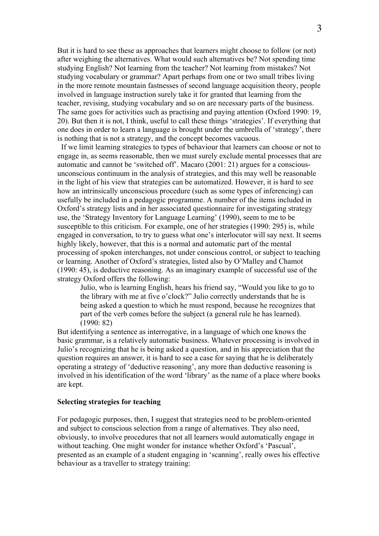But it is hard to see these as approaches that learners might choose to follow (or not) after weighing the alternatives. What would such alternatives be? Not spending time studying English? Not learning from the teacher? Not learning from mistakes? Not studying vocabulary or grammar? Apart perhaps from one or two small tribes living in the more remote mountain fastnesses of second language acquisition theory, people involved in language instruction surely take it for granted that learning from the teacher, revising, studying vocabulary and so on are necessary parts of the business. The same goes for activities such as practising and paying attention (Oxford 1990: 19, 20). But then it is not, I think, useful to call these things 'strategies'. If everything that one does in order to learn a language is brought under the umbrella of 'strategy', there is nothing that is not a strategy, and the concept becomes vacuous.

 If we limit learning strategies to types of behaviour that learners can choose or not to engage in, as seems reasonable, then we must surely exclude mental processes that are automatic and cannot be 'switched off'. Macaro (2001: 21) argues for a consciousunconscious continuum in the analysis of strategies, and this may well be reasonable in the light of his view that strategies can be automatized. However, it is hard to see how an intrinsically unconscious procedure (such as some types of inferencing) can usefully be included in a pedagogic programme. A number of the items included in Oxford's strategy lists and in her associated questionnaire for investigating strategy use, the 'Strategy Inventory for Language Learning' (1990), seem to me to be susceptible to this criticism. For example, one of her strategies (1990: 295) is, while engaged in conversation, to try to guess what one's interlocutor will say next. It seems highly likely, however, that this is a normal and automatic part of the mental processing of spoken interchanges, not under conscious control, or subject to teaching or learning. Another of Oxford's strategies, listed also by O'Malley and Chamot (1990: 45), is deductive reasoning. As an imaginary example of successful use of the strategy Oxford offers the following:

Julio, who is learning English, hears his friend say, "Would you like to go to the library with me at five o'clock?" Julio correctly understands that he is being asked a question to which he must respond, because he recognizes that part of the verb comes before the subject (a general rule he has learned). (1990: 82)

But identifying a sentence as interrogative, in a language of which one knows the basic grammar, is a relatively automatic business. Whatever processing is involved in Julio's recognizing that he is being asked a question, and in his appreciation that the question requires an answer, it is hard to see a case for saying that he is deliberately operating a strategy of 'deductive reasoning', any more than deductive reasoning is involved in his identification of the word 'library' as the name of a place where books are kept.

#### **Selecting strategies for teaching**

For pedagogic purposes, then, I suggest that strategies need to be problem-oriented and subject to conscious selection from a range of alternatives. They also need, obviously, to involve procedures that not all learners would automatically engage in without teaching. One might wonder for instance whether Oxford's 'Pascual', presented as an example of a student engaging in 'scanning', really owes his effective behaviour as a traveller to strategy training: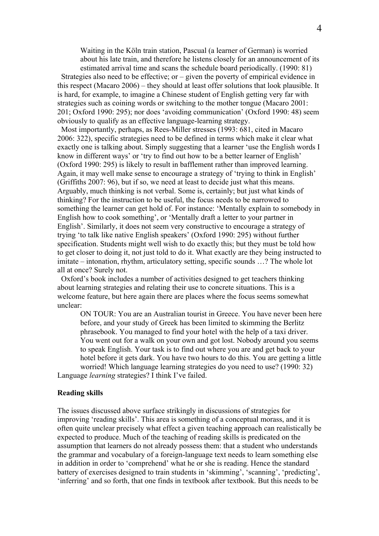Waiting in the Köln train station, Pascual (a learner of German) is worried about his late train, and therefore he listens closely for an announcement of its

estimated arrival time and scans the schedule board periodically. (1990: 81) Strategies also need to be effective; or – given the poverty of empirical evidence in this respect (Macaro 2006) – they should at least offer solutions that look plausible. It is hard, for example, to imagine a Chinese student of English getting very far with strategies such as coining words or switching to the mother tongue (Macaro 2001: 201; Oxford 1990: 295); nor does 'avoiding communication' (Oxford 1990: 48) seem obviously to qualify as an effective language-learning strategy.

 Most importantly, perhaps, as Rees-Miller stresses (1993: 681, cited in Macaro 2006: 322), specific strategies need to be defined in terms which make it clear what exactly one is talking about. Simply suggesting that a learner 'use the English words I know in different ways' or 'try to find out how to be a better learner of English' (Oxford 1990: 295) is likely to result in bafflement rather than improved learning. Again, it may well make sense to encourage a strategy of 'trying to think in English' (Griffiths 2007: 96), but if so, we need at least to decide just what this means. Arguably, much thinking is not verbal. Some is, certainly; but just what kinds of thinking? For the instruction to be useful, the focus needs to be narrowed to something the learner can get hold of. For instance: 'Mentally explain to somebody in English how to cook something', or 'Mentally draft a letter to your partner in English'. Similarly, it does not seem very constructive to encourage a strategy of trying 'to talk like native English speakers' (Oxford 1990: 295) without further specification. Students might well wish to do exactly this; but they must be told how to get closer to doing it, not just told to do it. What exactly are they being instructed to imitate – intonation, rhythm, articulatory setting, specific sounds …? The whole lot all at once? Surely not.

 Oxford's book includes a number of activities designed to get teachers thinking about learning strategies and relating their use to concrete situations. This is a welcome feature, but here again there are places where the focus seems somewhat unclear:

ON TOUR: You are an Australian tourist in Greece. You have never been here before, and your study of Greek has been limited to skimming the Berlitz phrasebook. You managed to find your hotel with the help of a taxi driver. You went out for a walk on your own and got lost. Nobody around you seems to speak English. Your task is to find out where you are and get back to your hotel before it gets dark. You have two hours to do this. You are getting a little worried! Which language learning strategies do you need to use? (1990: 32)

Language *learning* strategies? I think I've failed.

## **Reading skills**

The issues discussed above surface strikingly in discussions of strategies for improving 'reading skills'. This area is something of a conceptual morass, and it is often quite unclear precisely what effect a given teaching approach can realistically be expected to produce. Much of the teaching of reading skills is predicated on the assumption that learners do not already possess them: that a student who understands the grammar and vocabulary of a foreign-language text needs to learn something else in addition in order to 'comprehend' what he or she is reading. Hence the standard battery of exercises designed to train students in 'skimming', 'scanning', 'predicting', 'inferring' and so forth, that one finds in textbook after textbook. But this needs to be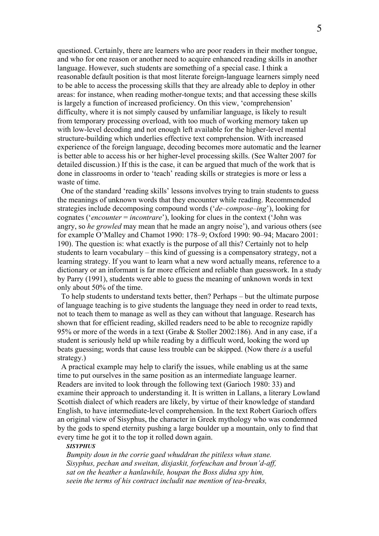questioned. Certainly, there are learners who are poor readers in their mother tongue, and who for one reason or another need to acquire enhanced reading skills in another language. However, such students are something of a special case. I think a reasonable default position is that most literate foreign-language learners simply need to be able to access the processing skills that they are already able to deploy in other areas: for instance, when reading mother-tongue texts; and that accessing these skills is largely a function of increased proficiency. On this view, 'comprehension' difficulty, where it is not simply caused by unfamiliar language, is likely to result from temporary processing overload, with too much of working memory taken up with low-level decoding and not enough left available for the higher-level mental structure-building which underlies effective text comprehension. With increased experience of the foreign language, decoding becomes more automatic and the learner is better able to access his or her higher-level processing skills. (See Walter 2007 for detailed discussion.) If this is the case, it can be argued that much of the work that is done in classrooms in order to 'teach' reading skills or strategies is more or less a waste of time.

One of the standard 'reading skills' lessons involves trying to train students to guess the meanings of unknown words that they encounter while reading. Recommended strategies include decomposing compound words ('*de–compose–ing*'), looking for cognates ('*encounter* = *incontrare*'), looking for clues in the context ('John was angry, so *he growled* may mean that he made an angry noise'), and various others (see for example O'Malley and Chamot 1990: 178–9; Oxford 1990: 90–94; Macaro 2001: 190). The question is: what exactly is the purpose of all this? Certainly not to help students to learn vocabulary – this kind of guessing is a compensatory strategy, not a learning strategy. If you want to learn what a new word actually means, reference to a dictionary or an informant is far more efficient and reliable than guesswork. In a study by Parry (1991), students were able to guess the meaning of unknown words in text only about 50% of the time.

 To help students to understand texts better, then? Perhaps – but the ultimate purpose of language teaching is to give students the language they need in order to read texts, not to teach them to manage as well as they can without that language. Research has shown that for efficient reading, skilled readers need to be able to recognize rapidly 95% or more of the words in a text (Grabe & Stoller 2002:186). And in any case, if a student is seriously held up while reading by a difficult word, looking the word up beats guessing; words that cause less trouble can be skipped. (Now there *is* a useful strategy.)

 A practical example may help to clarify the issues, while enabling us at the same time to put ourselves in the same position as an intermediate language learner. Readers are invited to look through the following text (Garioch 1980: 33) and examine their approach to understanding it. It is written in Lallans, a literary Lowland Scottish dialect of which readers are likely, by virtue of their knowledge of standard English, to have intermediate-level comprehension. In the text Robert Garioch offers an original view of Sisyphus, the character in Greek mythology who was condemned by the gods to spend eternity pushing a large boulder up a mountain, only to find that every time he got it to the top it rolled down again.

# *SISYPHUS*

*Bumpity doun in the corrie gaed whuddran the pitiless whun stane. Sisyphus, pechan and sweitan, disjaskit, forfeuchan and broun'd-aff, sat on the heather a hanlawhile, houpan the Boss didna spy him, seein the terms of his contract includit nae mention of tea-breaks,*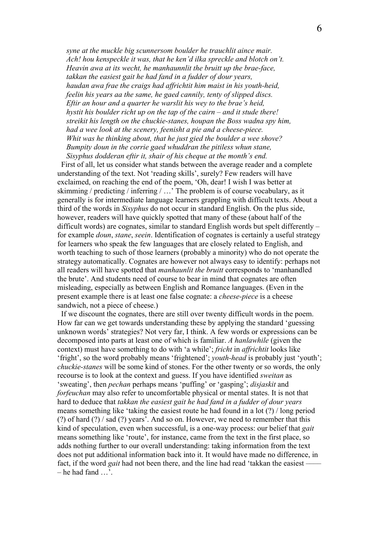*syne at the muckle big scunnersom boulder he trauchlit aince mair. Ach! hou kenspeckle it was, that he ken'd ilka spreckle and blotch on't. Heavin awa at its wecht, he manhaunnlit the bruitt up the brae-face, takkan the easiest gait he had fand in a fudder of dour years, haudan awa frae the craigs had affrichtit him maist in his youth-heid, feelin his years aa the same, he gaed cannily, tenty of slipped discs. Eftir an hour and a quarter he warslit his wey to the brae's heid, hystit his boulder richt up on the tap of the cairn – and it stude there! streikit his length on the chuckie-stanes, houpan the Boss wadna spy him, had a wee look at the scenery, feenisht a pie and a cheese-piece. Whit was he thinking about, that he just gied the boulder a wee shove? Bumpity doun in the corrie gaed whuddran the pitiless whun stane,*

*Sisyphus dodderan eftir it, shair of his cheque at the month's end.* First of all, let us consider what stands between the average reader and a complete understanding of the text. Not 'reading skills', surely? Few readers will have exclaimed, on reaching the end of the poem, 'Oh, dear! I wish I was better at skimming / predicting / inferring / …' The problem is of course vocabulary, as it generally is for intermediate language learners grappling with difficult texts. About a third of the words in *Sisyphus* do not occur in standard English. On the plus side, however, readers will have quickly spotted that many of these (about half of the difficult words) are cognates, similar to standard English words but spelt differently – for example *doun*, *stane*, *seein*. Identification of cognates is certainly a useful strategy for learners who speak the few languages that are closely related to English, and worth teaching to such of those learners (probably a minority) who do not operate the strategy automatically. Cognates are however not always easy to identify: perhaps not all readers will have spotted that *manhaunlit the bruitt* corresponds to 'manhandled the brute'. And students need of course to bear in mind that cognates are often misleading, especially as between English and Romance languages. (Even in the present example there is at least one false cognate: a *cheese-piece* is a cheese sandwich, not a piece of cheese.)

 If we discount the cognates, there are still over twenty difficult words in the poem. How far can we get towards understanding these by applying the standard 'guessing unknown words' strategies? Not very far, I think. A few words or expressions can be decomposed into parts at least one of which is familiar. *A hanlawhile* (given the context) must have something to do with 'a while'; *fricht* in *affrichtit* looks like 'fright', so the word probably means 'frightened'; *youth-head* is probably just 'youth'; *chuckie-stanes* will be some kind of stones. For the other twenty or so words, the only recourse is to look at the context and guess. If you have identified *sweitan* as 'sweating', then *pechan* perhaps means 'puffing' or 'gasping'; *disjaskit* and *forfeuchan* may also refer to uncomfortable physical or mental states. It is not that hard to deduce that *takkan the easiest gait he had fand in a fudder of dour years*  means something like 'taking the easiest route he had found in a lot (?) / long period (?) of hard (?) / sad (?) years'. And so on. However, we need to remember that this kind of speculation, even when successful, is a one-way process: our belief that *gait* means something like 'route', for instance, came from the text in the first place, so adds nothing further to our overall understanding: taking information from the text does not put additional information back into it. It would have made no difference, in fact, if the word *gait* had not been there, and the line had read 'takkan the easiest – – he had fand …'.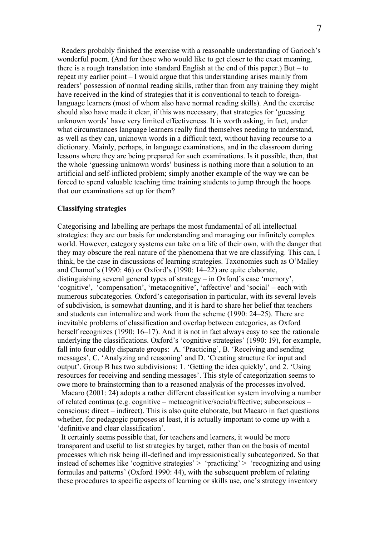Readers probably finished the exercise with a reasonable understanding of Garioch's wonderful poem. (And for those who would like to get closer to the exact meaning, there is a rough translation into standard English at the end of this paper.) But – to repeat my earlier point – I would argue that this understanding arises mainly from readers' possession of normal reading skills, rather than from any training they might have received in the kind of strategies that it is conventional to teach to foreignlanguage learners (most of whom also have normal reading skills). And the exercise should also have made it clear, if this was necessary, that strategies for 'guessing unknown words' have very limited effectiveness. It is worth asking, in fact, under what circumstances language learners really find themselves needing to understand, as well as they can, unknown words in a difficult text, without having recourse to a dictionary. Mainly, perhaps, in language examinations, and in the classroom during lessons where they are being prepared for such examinations. Is it possible, then, that the whole 'guessing unknown words' business is nothing more than a solution to an artificial and self-inflicted problem; simply another example of the way we can be forced to spend valuable teaching time training students to jump through the hoops that our examinations set up for them?

## **Classifying strategies**

Categorising and labelling are perhaps the most fundamental of all intellectual strategies: they are our basis for understanding and managing our infinitely complex world. However, category systems can take on a life of their own, with the danger that they may obscure the real nature of the phenomena that we are classifying. This can, I think, be the case in discussions of learning strategies. Taxonomies such as O'Malley and Chamot's (1990: 46) or Oxford's (1990: 14–22) are quite elaborate, distinguishing several general types of strategy – in Oxford's case 'memory', 'cognitive', 'compensation', 'metacognitive', 'affective' and 'social' – each with numerous subcategories. Oxford's categorisation in particular, with its several levels of subdivision, is somewhat daunting, and it is hard to share her belief that teachers and students can internalize and work from the scheme (1990: 24–25). There are inevitable problems of classification and overlap between categories, as Oxford herself recognizes (1990: 16–17). And it is not in fact always easy to see the rationale underlying the classifications. Oxford's 'cognitive strategies' (1990: 19), for example, fall into four oddly disparate groups: A. 'Practicing', B. 'Receiving and sending messages', C. 'Analyzing and reasoning' and D. 'Creating structure for input and output'. Group B has two subdivisions: 1. 'Getting the idea quickly', and 2. 'Using resources for receiving and sending messages'. This style of categorization seems to owe more to brainstorming than to a reasoned analysis of the processes involved.

 Macaro (2001: 24) adopts a rather different classification system involving a number of related continua (e.g. cognitive – metacognitive/social/affective; subconscious – conscious; direct – indirect). This is also quite elaborate, but Macaro in fact questions whether, for pedagogic purposes at least, it is actually important to come up with a 'definitive and clear classification'.

 It certainly seems possible that, for teachers and learners, it would be more transparent and useful to list strategies by target, rather than on the basis of mental processes which risk being ill-defined and impressionistically subcategorized. So that instead of schemes like 'cognitive strategies' > 'practicing' > 'recognizing and using formulas and patterns' (Oxford 1990: 44), with the subsequent problem of relating these procedures to specific aspects of learning or skills use, one's strategy inventory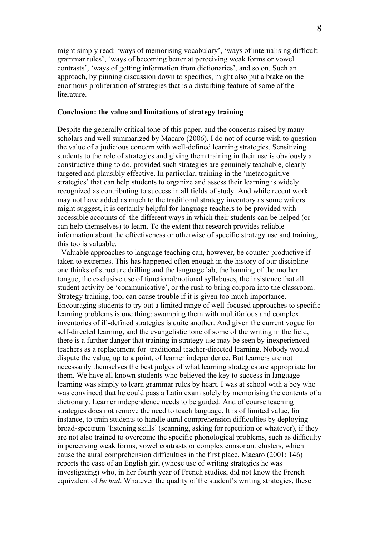might simply read: 'ways of memorising vocabulary', 'ways of internalising difficult grammar rules', 'ways of becoming better at perceiving weak forms or vowel contrasts', 'ways of getting information from dictionaries', and so on. Such an approach, by pinning discussion down to specifics, might also put a brake on the enormous proliferation of strategies that is a disturbing feature of some of the literature.

### **Conclusion: the value and limitations of strategy training**

Despite the generally critical tone of this paper, and the concerns raised by many scholars and well summarized by Macaro (2006), I do not of course wish to question the value of a judicious concern with well-defined learning strategies. Sensitizing students to the role of strategies and giving them training in their use is obviously a constructive thing to do, provided such strategies are genuinely teachable, clearly targeted and plausibly effective. In particular, training in the 'metacognitive strategies' that can help students to organize and assess their learning is widely recognized as contributing to success in all fields of study. And while recent work may not have added as much to the traditional strategy inventory as some writers might suggest, it is certainly helpful for language teachers to be provided with accessible accounts of the different ways in which their students can be helped (or can help themselves) to learn. To the extent that research provides reliable information about the effectiveness or otherwise of specific strategy use and training, this too is valuable.

 Valuable approaches to language teaching can, however, be counter-productive if taken to extremes. This has happened often enough in the history of our discipline – one thinks of structure drilling and the language lab, the banning of the mother tongue, the exclusive use of functional/notional syllabuses, the insistence that all student activity be 'communicative', or the rush to bring corpora into the classroom. Strategy training, too, can cause trouble if it is given too much importance. Encouraging students to try out a limited range of well-focused approaches to specific learning problems is one thing; swamping them with multifarious and complex inventories of ill-defined strategies is quite another. And given the current vogue for self-directed learning, and the evangelistic tone of some of the writing in the field, there is a further danger that training in strategy use may be seen by inexperienced teachers as a replacement for traditional teacher-directed learning. Nobody would dispute the value, up to a point, of learner independence. But learners are not necessarily themselves the best judges of what learning strategies are appropriate for them. We have all known students who believed the key to success in language learning was simply to learn grammar rules by heart. I was at school with a boy who was convinced that he could pass a Latin exam solely by memorising the contents of a dictionary. Learner independence needs to be guided. And of course teaching strategies does not remove the need to teach language. It is of limited value, for instance, to train students to handle aural comprehension difficulties by deploying broad-spectrum 'listening skills' (scanning, asking for repetition or whatever), if they are not also trained to overcome the specific phonological problems, such as difficulty in perceiving weak forms, vowel contrasts or complex consonant clusters, which cause the aural comprehension difficulties in the first place. Macaro (2001: 146) reports the case of an English girl (whose use of writing strategies he was investigating) who, in her fourth year of French studies, did not know the French equivalent of *he had*. Whatever the quality of the student's writing strategies, these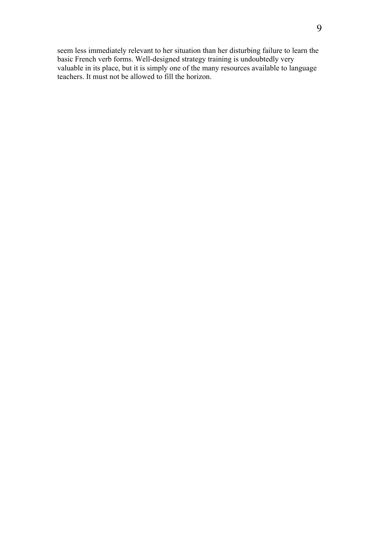seem less immediately relevant to her situation than her disturbing failure to learn the basic French verb forms. Well-designed strategy training is undoubtedly very valuable in its place, but it is simply one of the many resources available to language teachers. It must not be allowed to fill the horizon.